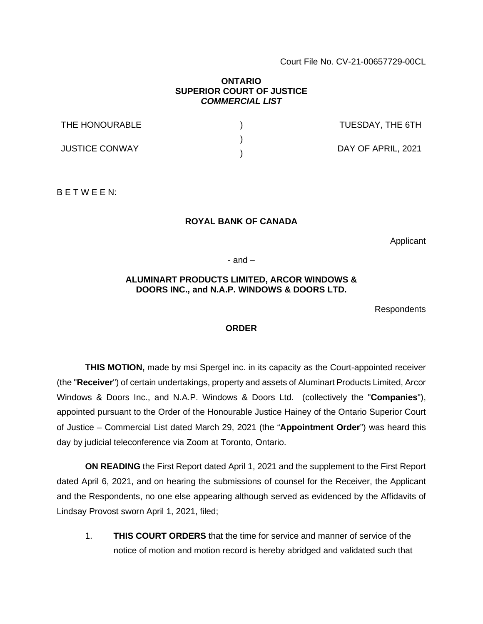Court File No. CV-21-00657729-00CL

## **ONTARIO SUPERIOR COURT OF JUSTICE**  *COMMERCIAL LIST*

| THE HONOURABLE        | TUESDAY, THE 6TH   |
|-----------------------|--------------------|
| <b>JUSTICE CONWAY</b> | DAY OF APRIL, 2021 |

B E T W E E N:

## **ROYAL BANK OF CANADA**

Applicant

 $-$  and  $-$ 

## **ALUMINART PRODUCTS LIMITED, ARCOR WINDOWS & DOORS INC., and N.A.P. WINDOWS & DOORS LTD.**

Respondents

## **ORDER**

**THIS MOTION,** made by msi Spergel inc. in its capacity as the Court-appointed receiver (the "**Receiver**") of certain undertakings, property and assets of Aluminart Products Limited, Arcor Windows & Doors Inc., and N.A.P. Windows & Doors Ltd. (collectively the "**Companies**"), appointed pursuant to the Order of the Honourable Justice Hainey of the Ontario Superior Court of Justice – Commercial List dated March 29, 2021 (the "**Appointment Order**") was heard this day by judicial teleconference via Zoom at Toronto, Ontario.

**ON READING** the First Report dated April 1, 2021 and the supplement to the First Report dated April 6, 2021, and on hearing the submissions of counsel for the Receiver, the Applicant and the Respondents, no one else appearing although served as evidenced by the Affidavits of Lindsay Provost sworn April 1, 2021, filed;

1. **THIS COURT ORDERS** that the time for service and manner of service of the notice of motion and motion record is hereby abridged and validated such that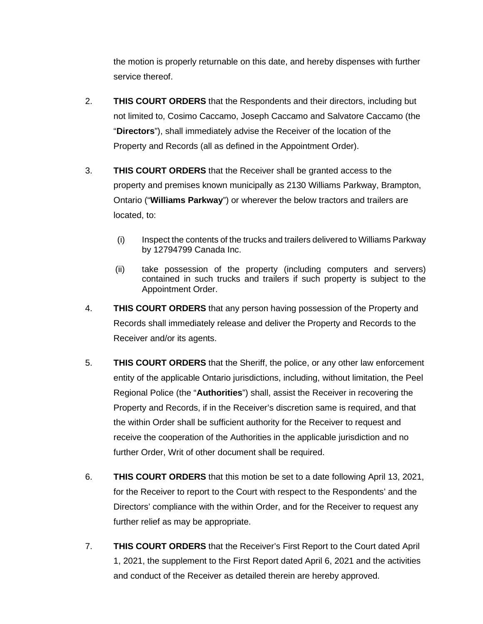the motion is properly returnable on this date, and hereby dispenses with further service thereof.

- 2. **THIS COURT ORDERS** that the Respondents and their directors, including but not limited to, Cosimo Caccamo, Joseph Caccamo and Salvatore Caccamo (the "**Directors**"), shall immediately advise the Receiver of the location of the Property and Records (all as defined in the Appointment Order).
- 3. **THIS COURT ORDERS** that the Receiver shall be granted access to the property and premises known municipally as 2130 Williams Parkway, Brampton, Ontario ("**Williams Parkway**") or wherever the below tractors and trailers are located, to:
	- (i) Inspect the contents of the trucks and trailers delivered to Williams Parkway by 12794799 Canada Inc.
	- (ii) take possession of the property (including computers and servers) contained in such trucks and trailers if such property is subject to the Appointment Order.
- 4. **THIS COURT ORDERS** that any person having possession of the Property and Records shall immediately release and deliver the Property and Records to the Receiver and/or its agents.
- 5. **THIS COURT ORDERS** that the Sheriff, the police, or any other law enforcement entity of the applicable Ontario jurisdictions, including, without limitation, the Peel Regional Police (the "**Authorities**") shall, assist the Receiver in recovering the Property and Records, if in the Receiver's discretion same is required, and that the within Order shall be sufficient authority for the Receiver to request and receive the cooperation of the Authorities in the applicable jurisdiction and no further Order, Writ of other document shall be required.
- 6. **THIS COURT ORDERS** that this motion be set to a date following April 13, 2021, for the Receiver to report to the Court with respect to the Respondents' and the Directors' compliance with the within Order, and for the Receiver to request any further relief as may be appropriate.
- 7. **THIS COURT ORDERS** that the Receiver's First Report to the Court dated April 1, 2021, the supplement to the First Report dated April 6, 2021 and the activities and conduct of the Receiver as detailed therein are hereby approved.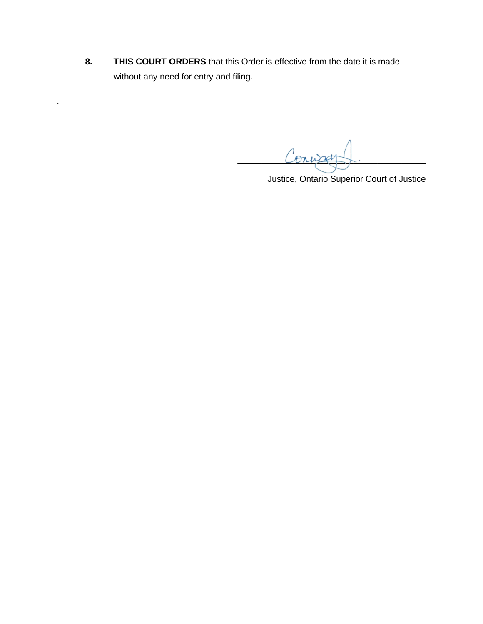**8. THIS COURT ORDERS** that this Order is effective from the date it is made without any need for entry and filing.

.

Coning

Justice, Ontario Superior Court of Justice